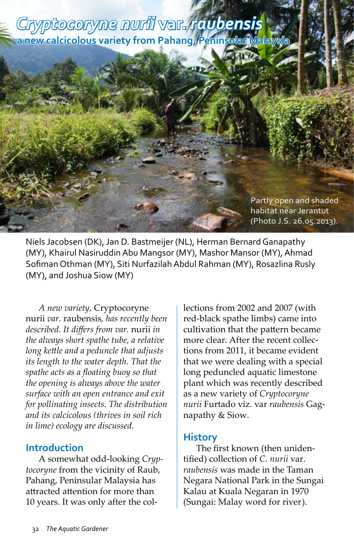## *Cryptocoryne nurii* **var.** *raubensis* **a new calcicolous variety from Pahang, Peninsular Malaysia**

Partly open and shaded habitat near Jerantut (Photo J.S. 26.05.2013).

Niels Jacobsen (DK), Jan D. Bastmeijer (NL), Herman Bernard Ganapathy (MY), Khairul Nasiruddin Abu Mangsor (MY), Mashor Mansor (MY), Ahmad Sofiman Othman (MY), Siti Nurfazilah Abdul Rahman (MY), Rosazlina Rusly (MY), and Joshua Siow (MY)

*A new variety,* Cryptocoryne nurii *var.* raubensis*, has recently been described. It differs from var.* nurii *in the always short spathe tube, a relative long kettle and a peduncle that adjusts its length to the water depth. That the spathe acts as a floating buoy so that the opening is always above the water surface with an open entrance and exit for pollinating insects. The distribution and its calcicolous (thrives in soil rich in lime) ecology are discussed.*

## **Introduction**

A somewhat odd-looking *Cryptocoryne* from the vicinity of Raub, Pahang, Peninsular Malaysia has attracted attention for more than 10 years. It was only after the collections from 2002 and 2007 (with red-black spathe limbs) came into cultivation that the pattern became more clear. After the recent collections from 2011, it became evident that we were dealing with a special long peduncled aquatic limestone plant which was recently described as a new variety of *Cryptocoryne nurii* Furtado viz. var *raubensis* Gagnapathy & Siow.

## **History**

The first known (then unidentified) collection of *C. nurii* var. *raubensis* was made in the Taman Negara National Park in the Sungai Kalau at Kuala Negaran in 1970 (Sungai: Malay word for river).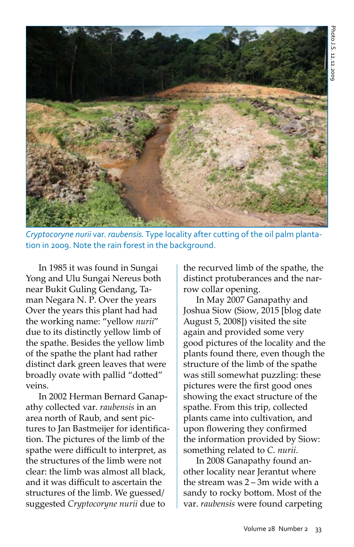

*Cryptocoryne nurii* var. *raubensis.* Type locality after cutting of the oil palm plantation in 2009. Note the rain forest in the background.

In 1985 it was found in Sungai Yong and Ulu Sungai Nereus both near Bukit Guling Gendang, Taman Negara N. P. Over the years Over the years this plant had had the working name: "yellow *nurii*" due to its distinctly yellow limb of the spathe. Besides the yellow limb of the spathe the plant had rather distinct dark green leaves that were broadly ovate with pallid "dotted" veins.

In 2002 Herman Bernard Ganapathy collected var. *raubensis* in an area north of Raub, and sent pictures to Jan Bastmeijer for identification. The pictures of the limb of the spathe were difficult to interpret, as the structures of the limb were not clear: the limb was almost all black, and it was difficult to ascertain the structures of the limb. We guessed/ suggested *Cryptocoryne nurii* due to

the recurved limb of the spathe, the distinct protuberances and the narrow collar opening.

In May 2007 Ganapathy and Joshua Siow (Siow, 2015 [blog date August 5, 2008]) visited the site again and provided some very good pictures of the locality and the plants found there, even though the structure of the limb of the spathe was still somewhat puzzling: these pictures were the first good ones showing the exact structure of the spathe. From this trip, collected plants came into cultivation, and upon flowering they confirmed the information provided by Siow: something related to *C*. *nurii*.

In 2008 Ganapathy found another locality near Jerantut where the stream was 2 – 3m wide with a sandy to rocky bottom. Most of the var. *raubensis* were found carpeting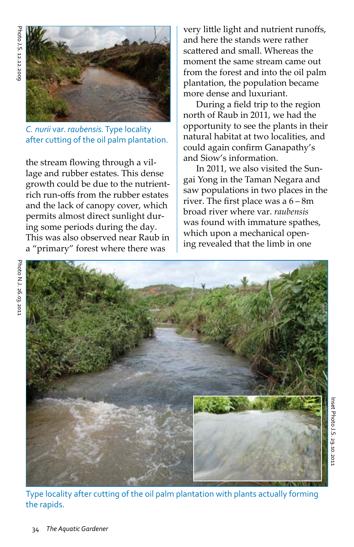Photo N.J. 26.03.2011

Photo N.J. 26.03.2011



*C. nurii* var. *raubensis.* Type locality after cutting of the oil palm plantation.

the stream flowing through a village and rubber estates. This dense growth could be due to the nutrientrich run-offs from the rubber estates and the lack of canopy cover, which permits almost direct sunlight during some periods during the day. This was also observed near Raub in a "primary" forest where there was

very little light and nutrient runoffs, and here the stands were rather scattered and small. Whereas the moment the same stream came out from the forest and into the oil palm plantation, the population became more dense and luxuriant.

During a field trip to the region north of Raub in 2011, we had the opportunity to see the plants in their natural habitat at two localities, and could again confirm Ganapathy's and Siow's information.

In 2011, we also visited the Sungai Yong in the Taman Negara and saw populations in two places in the river. The first place was a 6 – 8m broad river where var. *raubensis* was found with immature spathes, which upon a mechanical opening revealed that the limb in one



Type locality after cutting of the oil palm plantation with plants actually forming the rapids.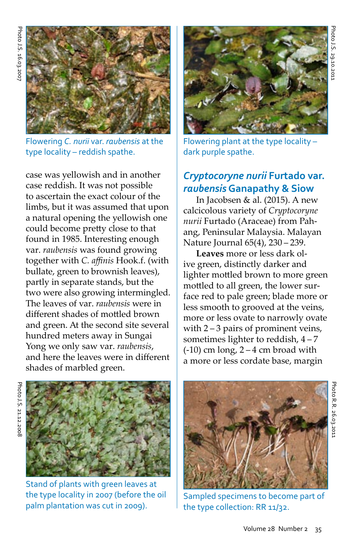

Flowering *C. nurii* var. *raubensis* at the type locality – reddish spathe.

case was yellowish and in another case reddish. It was not possible to ascertain the exact colour of the limbs, but it was assumed that upon a natural opening the yellowish one could become pretty close to that found in 1985. Interesting enough var. *raubensis* was found growing together with *C. affinis* Hook.f. (with bullate, green to brownish leaves), partly in separate stands, but the two were also growing intermingled. The leaves of var. *raubensis* were in different shades of mottled brown and green. At the second site several hundred meters away in Sungai Yong we only saw var. *raubensis*, and here the leaves were in different shades of marbled green.



Flowering plant at the type locality – dark purple spathe.

## *Cryptocoryne nurii* **Furtado var.**  *raubensis* **Ganapathy & Siow**

In Jacobsen & al. (2015). A new calcicolous variety of *Cryptocoryne nurii* Furtado (Araceae) from Pahang, Peninsular Malaysia. Malayan Nature Journal 65(4), 230 – 239.

**Leaves** more or less dark olive green, distinctly darker and lighter mottled brown to more green mottled to all green, the lower surface red to pale green; blade more or less smooth to grooved at the veins, more or less ovate to narrowly ovate with 2 – 3 pairs of prominent veins, sometimes lighter to reddish, 4 – 7  $(-10)$  cm long,  $2 - 4$  cm broad with a more or less cordate base, margin



Stand of plants with green leaves at the type locality in 2007 (before the oil palm plantation was cut in 2009).



Sampled specimens to become part of the type collection: RR 11/32.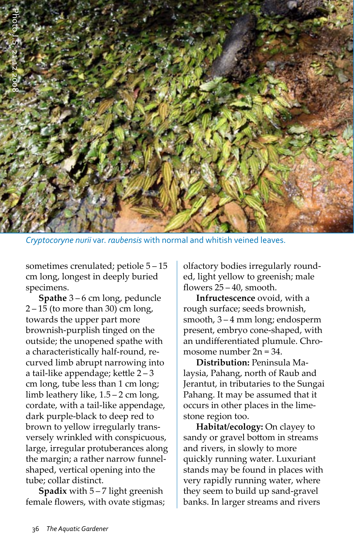

*Cryptocoryne nurii* var. *raubensis* with normal and whitish veined leaves.

sometimes crenulated; petiole 5 – 15 cm long, longest in deeply buried specimens.

**Spathe** 3 – 6 cm long, peduncle 2 – 15 (to more than 30) cm long, towards the upper part more brownish-purplish tinged on the outside; the unopened spathe with a characteristically half-round, recurved limb abrupt narrowing into a tail-like appendage; kettle 2 – 3 cm long, tube less than 1 cm long; limb leathery like, 1.5 – 2 cm long, cordate, with a tail-like appendage, dark purple-black to deep red to brown to yellow irregularly transversely wrinkled with conspicuous, large, irregular protuberances along the margin; a rather narrow funnelshaped, vertical opening into the tube; collar distinct.

**Spadix** with 5 – 7 light greenish female flowers, with ovate stigmas; olfactory bodies irregularly rounded, light yellow to greenish; male flowers 25 – 40, smooth.

**Infructescence** ovoid, with a rough surface; seeds brownish, smooth, 3 – 4 mm long; endosperm present, embryo cone-shaped, with an undifferentiated plumule. Chromosome number 2n = 34.

**Distribution:** Peninsula Malaysia, Pahang, north of Raub and Jerantut, in tributaries to the Sungai Pahang. It may be assumed that it occurs in other places in the limestone region too.

**Habitat/ecology:** On clayey to sandy or gravel bottom in streams and rivers, in slowly to more quickly running water. Luxuriant stands may be found in places with very rapidly running water, where they seem to build up sand-gravel banks. In larger streams and rivers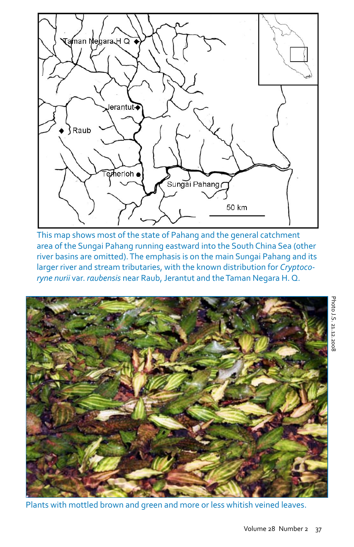

This map shows most of the state of Pahang and the general catchment area of the Sungai Pahang running eastward into the South China Sea (other river basins are omitted). The emphasis is on the main Sungai Pahang and its larger river and stream tributaries, with the known distribution for *Cryptocoryne nurii* var. *raubensis* near Raub, Jerantut and the Taman Negara H. Q.



Plants with mottled brown and green and more or less whitish veined leaves.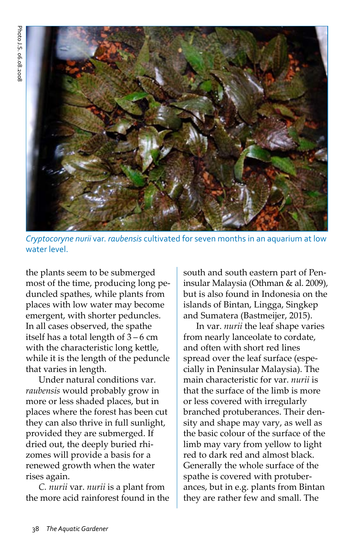

*Cryptocoryne nurii* var. *raubensis* cultivated for seven months in an aquarium at low water level.

the plants seem to be submerged most of the time, producing long peduncled spathes, while plants from places with low water may become emergent, with shorter peduncles. In all cases observed, the spathe itself has a total length of 3 – 6 cm with the characteristic long kettle, while it is the length of the peduncle that varies in length.

Under natural conditions var. *raubensis* would probably grow in more or less shaded places, but in places where the forest has been cut they can also thrive in full sunlight, provided they are submerged. If dried out, the deeply buried rhizomes will provide a basis for a renewed growth when the water rises again.

*C. nurii* var. *nurii* is a plant from the more acid rainforest found in the south and south eastern part of Peninsular Malaysia (Othman & al. 2009), but is also found in Indonesia on the islands of Bintan, Lingga, Singkep and Sumatera (Bastmeijer, 2015).

In var. *nurii* the leaf shape varies from nearly lanceolate to cordate, and often with short red lines spread over the leaf surface (especially in Peninsular Malaysia). The main characteristic for var. *nurii* is that the surface of the limb is more or less covered with irregularly branched protuberances. Their density and shape may vary, as well as the basic colour of the surface of the limb may vary from yellow to light red to dark red and almost black. Generally the whole surface of the spathe is covered with protuberances, but in e.g. plants from Bintan they are rather few and small. The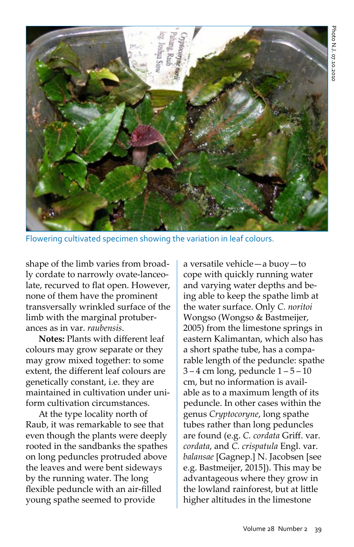

Flowering cultivated specimen showing the variation in leaf colours.

shape of the limb varies from broadly cordate to narrowly ovate-lanceolate, recurved to flat open. However, none of them have the prominent transversally wrinkled surface of the limb with the marginal protuberances as in var. *raubensis*.

**Notes:** Plants with different leaf colours may grow separate or they may grow mixed together: to some extent, the different leaf colours are genetically constant, i.e. they are maintained in cultivation under uniform cultivation circumstances.

At the type locality north of Raub, it was remarkable to see that even though the plants were deeply rooted in the sandbanks the spathes on long peduncles protruded above the leaves and were bent sideways by the running water. The long flexible peduncle with an air-filled young spathe seemed to provide

a versatile vehicle—a buoy—to cope with quickly running water and varying water depths and being able to keep the spathe limb at the water surface. Only *C. noritoi* Wongso (Wongso & Bastmeijer, 2005) from the limestone springs in eastern Kalimantan, which also has a short spathe tube, has a comparable length of the peduncle: spathe 3 – 4 cm long, peduncle 1 – 5 – 10 cm, but no information is available as to a maximum length of its peduncle. In other cases within the genus *Cryptocoryne*, long spathe tubes rather than long peduncles are found (e.g. *C. cordata* Griff. var. *cordata*, and *C. crispatula* Engl. var. *balansae* [Gagnep.] N. Jacobsen [see e.g. Bastmeijer, 2015]). This may be advantageous where they grow in the lowland rainforest, but at little higher altitudes in the limestone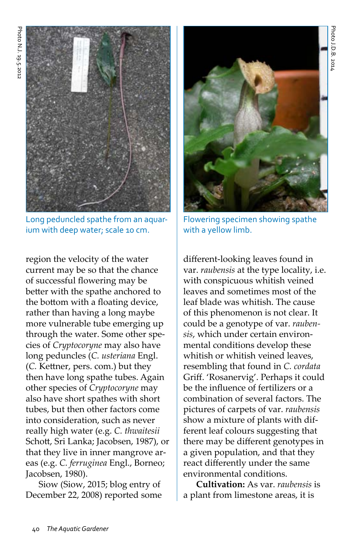

Long peduncled spathe from an aquarium with deep water; scale 10 cm.

region the velocity of the water current may be so that the chance of successful flowering may be better with the spathe anchored to the bottom with a floating device, rather than having a long maybe more vulnerable tube emerging up through the water. Some other species of *Cryptocoryne* may also have long peduncles (*C. usteriana* Engl. (*C.* Kettner, pers. com.) but they then have long spathe tubes. Again other species of *Cryptocoryne* may also have short spathes with short tubes, but then other factors come into consideration, such as never really high water (e.g. *C. thwaitesii* Schott, Sri Lanka; Jacobsen, 1987), or that they live in inner mangrove areas (e.g. *C. ferruginea* Engl., Borneo; Jacobsen, 1980).

Siow (Siow, 2015; blog entry of December 22, 2008) reported some



Flowering specimen showing spathe with a yellow limb.

different-looking leaves found in var. *raubensis* at the type locality, i.e. with conspicuous whitish veined leaves and sometimes most of the leaf blade was whitish. The cause of this phenomenon is not clear. It could be a genotype of var. *raubensis*, which under certain environmental conditions develop these whitish or whitish veined leaves, resembling that found in *C. cordata*  Griff. 'Rosanervig'. Perhaps it could be the influence of fertilizers or a combination of several factors. The pictures of carpets of var. *raubensis* show a mixture of plants with different leaf colours suggesting that there may be different genotypes in a given population, and that they react differently under the same environmental conditions.

**Cultivation:** As var. *raubensis* is a plant from limestone areas, it is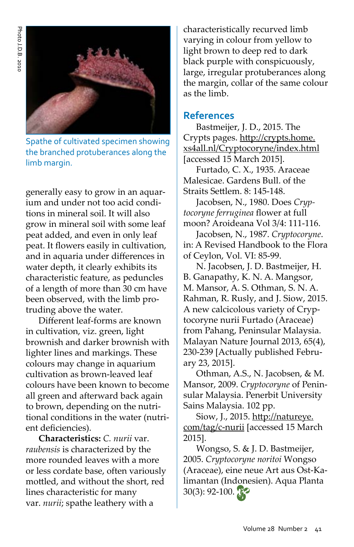

Spathe of cultivated specimen showing the branched protuberances along the limb margin.

generally easy to grow in an aquarium and under not too acid conditions in mineral soil. It will also grow in mineral soil with some leaf peat added, and even in only leaf peat. It flowers easily in cultivation, and in aquaria under differences in water depth, it clearly exhibits its characteristic feature, as peduncles of a length of more than 30 cm have been observed, with the limb protruding above the water.

Different leaf-forms are known in cultivation, viz. green, light brownish and darker brownish with lighter lines and markings. These colours may change in aquarium cultivation as brown-leaved leaf colours have been known to become all green and afterward back again to brown, depending on the nutritional conditions in the water (nutrient deficiencies).

**Characteristics:** *C. nurii* var. *raubensis* is characterized by the more rounded leaves with a more or less cordate base, often variously mottled, and without the short, red lines characteristic for many var. *nurii*; spathe leathery with a

characteristically recurved limb varying in colour from yellow to light brown to deep red to dark black purple with conspicuously, large, irregular protuberances along the margin, collar of the same colour as the limb.

#### **References**

Bastmeijer, J. D., 2015. The Crypts pages. http://crypts.home. xs4all.nl/Cryptocoryne/index.html [accessed 15 March 2015].

Furtado, C. X., 1935. Araceae Malesicae. Gardens Bull. of the Straits Settlem. 8: 145-148.

Jacobsen, N., 1980. Does *Cryptocoryne ferruginea* flower at full moon? Aroideana Vol 3/4: 111-116.

Jacobsen, N., 1987. *Cryptocoryne*. in: A Revised Handbook to the Flora of Ceylon, Vol. VI: 85-99.

N. Jacobsen, J. D. Bastmeijer, H. B. Ganapathy, K. N. A. Mangsor, M. Mansor, A. S. Othman, S. N. A. Rahman, R. Rusly, and J. Siow, 2015. A new calcicolous variety of Cryptocoryne nurii Furtado (Araceae) from Pahang, Peninsular Malaysia. Malayan Nature Journal 2013, 65(4), 230-239 [Actually published February 23, 2015].

Othman, A.S., N. Jacobsen, & M. Mansor, 2009. *Cryptocoryne* of Peninsular Malaysia. Penerbit University Sains Malaysia. 102 pp.

Siow, J., 2015. http://natureye. com/tag/c-nurii [accessed 15 March 2015].

Wongso, S. & J. D. Bastmeijer, 2005. *Cryptocoryne noritoi* Wongso (Araceae), eine neue Art aus Ost-Kalimantan (Indonesien). Aqua Planta 30(3): 92-100.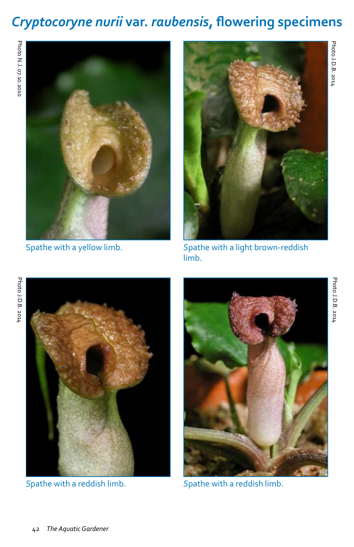# *Cryptocoryne nurii* **var.** *raubensis***, flowering specimens**





Spathe with a yellow limb. *S*pathe with a light brown-reddish limb.





*S*pathe with a reddish limb. *S*pathe with a reddish limb.